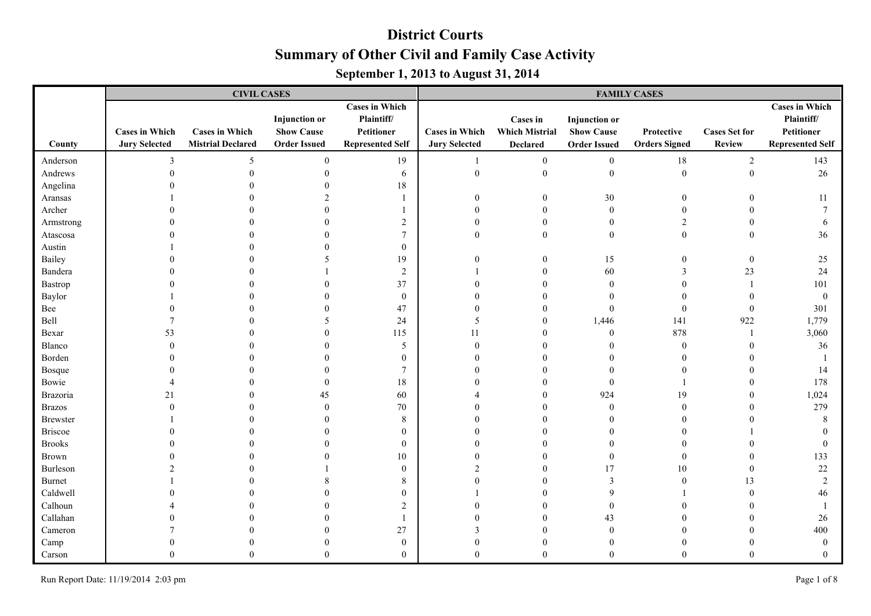|                 |                                               | <b>CIVIL CASES</b>                                |                                                                  |                                                                              | <b>FAMILY CASES</b>                           |                                                             |                                                                  |                                    |                                       |                                                                              |  |
|-----------------|-----------------------------------------------|---------------------------------------------------|------------------------------------------------------------------|------------------------------------------------------------------------------|-----------------------------------------------|-------------------------------------------------------------|------------------------------------------------------------------|------------------------------------|---------------------------------------|------------------------------------------------------------------------------|--|
| County          | <b>Cases in Which</b><br><b>Jury Selected</b> | <b>Cases in Which</b><br><b>Mistrial Declared</b> | <b>Injunction</b> or<br><b>Show Cause</b><br><b>Order Issued</b> | <b>Cases in Which</b><br>Plaintiff/<br>Petitioner<br><b>Represented Self</b> | <b>Cases in Which</b><br><b>Jury Selected</b> | <b>Cases in</b><br><b>Which Mistrial</b><br><b>Declared</b> | <b>Injunction</b> or<br><b>Show Cause</b><br><b>Order Issued</b> | Protective<br><b>Orders Signed</b> | <b>Cases Set for</b><br><b>Review</b> | <b>Cases in Which</b><br>Plaintiff/<br>Petitioner<br><b>Represented Self</b> |  |
| Anderson        | $\mathbf{3}$                                  | 5                                                 | $\theta$                                                         | 19                                                                           |                                               | $\overline{0}$                                              | $\boldsymbol{0}$                                                 | 18                                 | $\sqrt{2}$                            | 143                                                                          |  |
| Andrews         |                                               | $\theta$                                          |                                                                  | 6                                                                            | $\mathbf{0}$                                  | $\boldsymbol{0}$                                            | $\boldsymbol{0}$                                                 | $\boldsymbol{0}$                   | $\boldsymbol{0}$                      | 26                                                                           |  |
| Angelina        |                                               |                                                   |                                                                  | $18\,$                                                                       |                                               |                                                             |                                                                  |                                    |                                       |                                                                              |  |
| Aransas         |                                               |                                                   | $\mathcal{D}$                                                    | $\mathbf{1}$                                                                 | $\theta$                                      | $\mathbf{0}$                                                | 30                                                               | $\theta$                           |                                       | 11                                                                           |  |
| Archer          |                                               |                                                   |                                                                  |                                                                              | $\Omega$                                      | $\Omega$                                                    | $\mathbf{0}$                                                     | $\theta$                           |                                       | $\overline{7}$                                                               |  |
| Armstrong       |                                               |                                                   |                                                                  | $\overline{2}$                                                               | 0                                             | $\Omega$                                                    | $\mathbf{0}$                                                     | $\overline{2}$                     |                                       | 6                                                                            |  |
| Atascosa        |                                               |                                                   |                                                                  | $\overline{7}$                                                               | 0                                             | $\theta$                                                    | $\theta$                                                         | $\mathbf{0}$                       | $\Omega$                              | 36                                                                           |  |
| Austin          |                                               |                                                   |                                                                  | $\mathbf{0}$                                                                 |                                               |                                                             |                                                                  |                                    |                                       |                                                                              |  |
| Bailey          |                                               |                                                   | 5                                                                | 19                                                                           | 0                                             | 0                                                           | 15                                                               | $\Omega$                           | $\boldsymbol{0}$                      | 25                                                                           |  |
| Bandera         |                                               |                                                   |                                                                  | $\sqrt{2}$                                                                   |                                               | $\theta$                                                    | 60                                                               | 3                                  | 23                                    | 24                                                                           |  |
| Bastrop         |                                               |                                                   |                                                                  | 37                                                                           |                                               |                                                             | $\theta$                                                         | $\Omega$                           |                                       | 101                                                                          |  |
| Baylor          |                                               |                                                   |                                                                  | $\mathbf{0}$                                                                 |                                               |                                                             |                                                                  |                                    |                                       | $\mathbf{0}$                                                                 |  |
| Bee             |                                               |                                                   |                                                                  | 47                                                                           |                                               |                                                             | $\theta$                                                         | $\Omega$                           | $\theta$                              | 301                                                                          |  |
| Bell            |                                               |                                                   | 5                                                                | 24                                                                           | 5                                             | $\mathbf{0}$                                                | 1,446                                                            | 141                                | 922                                   | 1,779                                                                        |  |
| Bexar           | 53                                            |                                                   |                                                                  | 115                                                                          | 11                                            | $\theta$                                                    | $\theta$                                                         | 878                                | $\mathbf{1}$                          | 3,060                                                                        |  |
| Blanco          |                                               |                                                   |                                                                  | $\sqrt{5}$                                                                   | $\Omega$                                      | $\theta$                                                    |                                                                  | $\theta$                           |                                       | 36                                                                           |  |
| Borden          |                                               |                                                   |                                                                  | $\mathbf{0}$                                                                 |                                               |                                                             |                                                                  |                                    |                                       |                                                                              |  |
| Bosque          |                                               |                                                   |                                                                  | $\overline{7}$                                                               |                                               |                                                             |                                                                  | $\Omega$                           |                                       | 14                                                                           |  |
| Bowie           |                                               |                                                   | $\Omega$                                                         | 18                                                                           |                                               | $\Omega$                                                    | $\theta$                                                         |                                    |                                       | 178                                                                          |  |
| Brazoria        | 21                                            |                                                   | 45                                                               | 60                                                                           |                                               | $\theta$                                                    | 924                                                              | 19                                 | $\Omega$                              | 1,024                                                                        |  |
| <b>Brazos</b>   |                                               |                                                   |                                                                  | $70\,$                                                                       |                                               | $\Omega$                                                    | $\theta$                                                         | $\Omega$                           |                                       | 279                                                                          |  |
| <b>Brewster</b> |                                               |                                                   |                                                                  | 8                                                                            |                                               | 0                                                           | $\Omega$                                                         |                                    |                                       | 8                                                                            |  |
| Briscoe         |                                               |                                                   |                                                                  | $\mathbf{0}$                                                                 |                                               |                                                             |                                                                  |                                    |                                       |                                                                              |  |
| <b>Brooks</b>   |                                               |                                                   |                                                                  | $\mathbf{0}$                                                                 |                                               |                                                             |                                                                  |                                    |                                       | $\theta$                                                                     |  |
| <b>Brown</b>    |                                               |                                                   |                                                                  | $10\,$                                                                       |                                               | $\Omega$                                                    | $\theta$                                                         | $\theta$                           |                                       | 133                                                                          |  |
| Burleson        |                                               |                                                   |                                                                  | $\boldsymbol{0}$                                                             | $\overline{2}$                                | $\theta$                                                    | 17                                                               | 10                                 | $\Omega$                              | 22                                                                           |  |
| Burnet          |                                               |                                                   |                                                                  | $8\,$                                                                        | 0                                             | $\theta$                                                    | $\overline{3}$                                                   | $\mathbf{0}$                       | 13                                    | $\overline{2}$                                                               |  |
| Caldwell        |                                               |                                                   |                                                                  | $\mathbf{0}$                                                                 |                                               |                                                             | $\mathbf Q$                                                      |                                    |                                       | 46                                                                           |  |
| Calhoun         |                                               |                                                   |                                                                  | $\overline{c}$                                                               |                                               |                                                             | $\Omega$                                                         |                                    |                                       |                                                                              |  |
| Callahan        |                                               |                                                   |                                                                  | $\mathbf{1}$                                                                 |                                               |                                                             | 43                                                               |                                    |                                       | 26                                                                           |  |
| Cameron         |                                               |                                                   |                                                                  | 27                                                                           |                                               |                                                             | $\Omega$                                                         |                                    |                                       | 400                                                                          |  |
| Camp            |                                               |                                                   |                                                                  | $\boldsymbol{0}$                                                             |                                               | $\Omega$                                                    | $\Omega$                                                         |                                    |                                       | $\theta$                                                                     |  |
| Carson          |                                               | $\Omega$                                          | $\theta$                                                         | $\overline{0}$                                                               | $\theta$                                      | $\Omega$                                                    | $\Omega$                                                         | $\theta$                           |                                       | $\theta$                                                                     |  |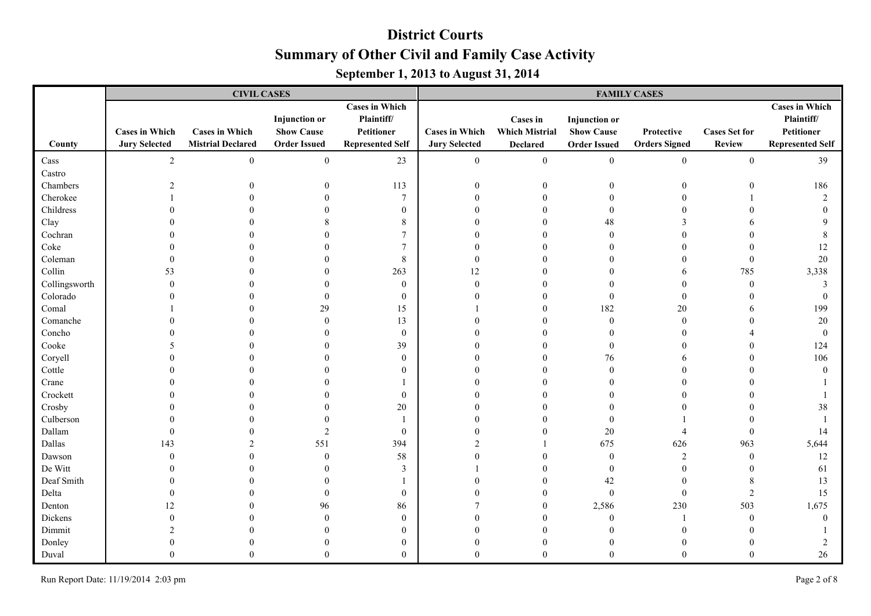|               |                                               | <b>CIVIL CASES</b>                                |                                                                  |                                                                              | <b>FAMILY CASES</b>                           |                                                             |                                                                  |                                    |                                       |                                                                              |  |
|---------------|-----------------------------------------------|---------------------------------------------------|------------------------------------------------------------------|------------------------------------------------------------------------------|-----------------------------------------------|-------------------------------------------------------------|------------------------------------------------------------------|------------------------------------|---------------------------------------|------------------------------------------------------------------------------|--|
| County        | <b>Cases in Which</b><br><b>Jury Selected</b> | <b>Cases in Which</b><br><b>Mistrial Declared</b> | <b>Injunction</b> or<br><b>Show Cause</b><br><b>Order Issued</b> | <b>Cases in Which</b><br>Plaintiff/<br>Petitioner<br><b>Represented Self</b> | <b>Cases in Which</b><br><b>Jury Selected</b> | <b>Cases in</b><br><b>Which Mistrial</b><br><b>Declared</b> | <b>Injunction</b> or<br><b>Show Cause</b><br><b>Order Issued</b> | Protective<br><b>Orders Signed</b> | <b>Cases Set for</b><br><b>Review</b> | <b>Cases in Which</b><br>Plaintiff/<br>Petitioner<br><b>Represented Self</b> |  |
| Cass          | $\overline{2}$                                | $\mathbf{0}$                                      | $\boldsymbol{0}$                                                 | 23                                                                           | $\mathbf{0}$                                  | $\mathbf{0}$                                                | $\boldsymbol{0}$                                                 | $\boldsymbol{0}$                   | $\boldsymbol{0}$                      | 39                                                                           |  |
| Castro        |                                               |                                                   |                                                                  |                                                                              |                                               |                                                             |                                                                  |                                    |                                       |                                                                              |  |
| Chambers      | $\overline{2}$                                |                                                   | $\boldsymbol{0}$                                                 | 113                                                                          | $\boldsymbol{0}$                              | $\overline{0}$                                              | $\theta$                                                         | $\overline{0}$                     | $\Omega$                              | 186                                                                          |  |
| Cherokee      |                                               |                                                   | $\theta$                                                         | $\overline{7}$                                                               | $\Omega$                                      | $\theta$                                                    | $\mathbf{0}$                                                     | $\theta$                           |                                       | $\overline{2}$                                                               |  |
| Childress     |                                               |                                                   | $\theta$                                                         | $\boldsymbol{0}$                                                             | $\Omega$                                      | $\Omega$                                                    | $\theta$                                                         | $\theta$                           |                                       | $\Omega$                                                                     |  |
| Clay          |                                               |                                                   | 8                                                                | 8                                                                            | $\Omega$                                      | $\Omega$                                                    | 48                                                               | 3                                  |                                       | $\Omega$                                                                     |  |
| Cochran       |                                               |                                                   | $\Omega$                                                         | $\overline{7}$                                                               | O                                             | 0                                                           | $\Omega$                                                         | $\theta$                           |                                       | 8                                                                            |  |
| Coke          |                                               |                                                   |                                                                  | $\overline{7}$                                                               | O                                             | 0                                                           |                                                                  | $\theta$                           |                                       | 12                                                                           |  |
| Coleman       |                                               |                                                   | $\Omega$                                                         | 8                                                                            | $\Omega$                                      | $\Omega$                                                    |                                                                  | $\theta$                           | $\mathbf{0}$                          | 20                                                                           |  |
| Collin        | 53                                            |                                                   | $\Omega$                                                         | 263                                                                          | 12                                            | 0                                                           |                                                                  | 6                                  | 785                                   | 3,338                                                                        |  |
| Collingsworth |                                               |                                                   | $\Omega$                                                         | $\boldsymbol{0}$                                                             | $\theta$                                      | 0                                                           |                                                                  | $\theta$                           | $\overline{0}$                        | 3                                                                            |  |
| Colorado      |                                               |                                                   | $\mathbf{0}$                                                     | $\bf{0}$                                                                     |                                               |                                                             | $\Omega$                                                         | $\overline{0}$                     |                                       | $\mathbf{0}$                                                                 |  |
| Comal         |                                               |                                                   | 29                                                               | 15                                                                           |                                               | 0                                                           | 182                                                              | 20                                 |                                       | 199                                                                          |  |
| Comanche      |                                               |                                                   | $\mathbf{0}$                                                     | 13                                                                           |                                               | $\theta$                                                    | $\boldsymbol{0}$                                                 | $\boldsymbol{0}$                   |                                       | 20                                                                           |  |
| Concho        |                                               |                                                   | $\Omega$                                                         | $\boldsymbol{0}$                                                             |                                               | $\Omega$                                                    |                                                                  | $\theta$                           |                                       | $\mathbf{0}$                                                                 |  |
| Cooke         |                                               |                                                   | $\Omega$                                                         | 39                                                                           | O                                             | $\Omega$                                                    | $\Omega$                                                         | $\theta$                           |                                       | 124                                                                          |  |
| Coryell       |                                               |                                                   | $\theta$                                                         | $\boldsymbol{0}$                                                             | $\Omega$                                      | $\Omega$                                                    | 76                                                               | 6                                  |                                       | 106                                                                          |  |
| Cottle        |                                               |                                                   | $\Omega$                                                         | $\mathbf{0}$                                                                 | O                                             | 0                                                           | $\Omega$                                                         | $\theta$                           |                                       | $\theta$                                                                     |  |
| Crane         |                                               |                                                   |                                                                  |                                                                              |                                               | $\Omega$                                                    |                                                                  | $\Omega$                           |                                       |                                                                              |  |
| Crockett      |                                               |                                                   | $\Omega$                                                         | $\bf{0}$                                                                     | ∩                                             | $\Omega$                                                    |                                                                  | $\Omega$                           |                                       |                                                                              |  |
| Crosby        |                                               |                                                   | $\Omega$                                                         | $20\,$                                                                       | O                                             | 0                                                           |                                                                  | $\theta$                           |                                       | 38                                                                           |  |
| Culberson     |                                               |                                                   | $\theta$                                                         |                                                                              | 0                                             | 0                                                           | $\theta$                                                         |                                    |                                       |                                                                              |  |
| Dallam        |                                               |                                                   | $\overline{2}$                                                   | $\boldsymbol{0}$                                                             | 0                                             | $\theta$                                                    | 20                                                               | $\overline{4}$                     | $\theta$                              | 14                                                                           |  |
| Dallas        | 143                                           | 2                                                 | 551                                                              | 394                                                                          | $\mathfrak{D}$                                |                                                             | 675                                                              | 626                                | 963                                   | 5,644                                                                        |  |
| Dawson        | $\Omega$                                      | $\theta$                                          | $\mathbf{0}$                                                     | 58                                                                           | $\Omega$                                      | $\Omega$                                                    | $\boldsymbol{0}$                                                 | $\overline{c}$                     | $\theta$                              | 12                                                                           |  |
| De Witt       |                                               |                                                   | $\theta$                                                         | 3                                                                            |                                               | $\Omega$                                                    | $\mathbf{0}$                                                     | $\mathbf{0}$                       |                                       | 61                                                                           |  |
| Deaf Smith    |                                               |                                                   | $\mathbf{0}$                                                     |                                                                              | $\Omega$                                      | $\Omega$                                                    | 42                                                               | $\boldsymbol{0}$                   | 8                                     | 13                                                                           |  |
| Delta         |                                               |                                                   | $\mathbf{0}$                                                     | $\boldsymbol{0}$                                                             | $\Omega$                                      | $\Omega$                                                    | $\boldsymbol{0}$                                                 | $\mathbf{0}$                       | $\overline{2}$                        | 15                                                                           |  |
| Denton        | 12                                            |                                                   | 96                                                               | 86                                                                           |                                               | $\Omega$                                                    | 2,586                                                            | 230                                | 503                                   | 1,675                                                                        |  |
| Dickens       |                                               |                                                   | $\theta$                                                         | $\boldsymbol{0}$                                                             |                                               | $\Omega$                                                    | $\mathbf{0}$                                                     | $\mathbf{1}$                       | $\theta$                              | $\theta$                                                                     |  |
| Dimmit        |                                               |                                                   | $\Omega$                                                         | $\boldsymbol{0}$                                                             |                                               | $\Omega$                                                    |                                                                  | $\Omega$                           |                                       |                                                                              |  |
| Donley        |                                               |                                                   | $\Omega$                                                         | $\bf{0}$                                                                     |                                               | 0                                                           | $\Omega$                                                         | $\Omega$                           |                                       | 2                                                                            |  |
| Duval         |                                               | $\theta$                                          | $\theta$                                                         | $\mathbf{0}$                                                                 | 0                                             | $\Omega$                                                    | $\Omega$                                                         | $\Omega$                           | $\Omega$                              | 26                                                                           |  |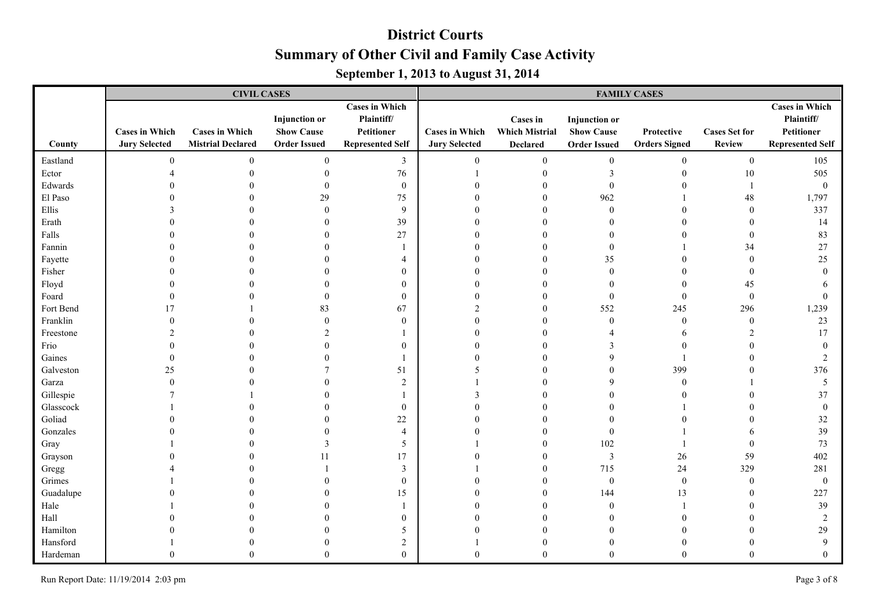|           |                                               | <b>CIVIL CASES</b>                                |                                                                  |                                                                              | <b>FAMILY CASES</b>                           |                                                      |                                                                  |                                    |                                       |                                                                              |  |
|-----------|-----------------------------------------------|---------------------------------------------------|------------------------------------------------------------------|------------------------------------------------------------------------------|-----------------------------------------------|------------------------------------------------------|------------------------------------------------------------------|------------------------------------|---------------------------------------|------------------------------------------------------------------------------|--|
| County    | <b>Cases in Which</b><br><b>Jury Selected</b> | <b>Cases in Which</b><br><b>Mistrial Declared</b> | <b>Injunction</b> or<br><b>Show Cause</b><br><b>Order Issued</b> | <b>Cases in Which</b><br>Plaintiff/<br>Petitioner<br><b>Represented Self</b> | <b>Cases in Which</b><br><b>Jury Selected</b> | Cases in<br><b>Which Mistrial</b><br><b>Declared</b> | <b>Injunction</b> or<br><b>Show Cause</b><br><b>Order Issued</b> | Protective<br><b>Orders Signed</b> | <b>Cases Set for</b><br><b>Review</b> | <b>Cases in Which</b><br>Plaintiff/<br>Petitioner<br><b>Represented Self</b> |  |
| Eastland  | $\theta$                                      | $\mathbf{0}$                                      | $\boldsymbol{0}$                                                 | $\mathfrak{Z}$                                                               | $\overline{0}$                                | $\boldsymbol{0}$                                     | $\bf{0}$                                                         | $\mathbf{0}$                       | $\boldsymbol{0}$                      | 105                                                                          |  |
| Ector     |                                               |                                                   | $\boldsymbol{0}$                                                 | $76\,$                                                                       |                                               | $\boldsymbol{0}$                                     | 3                                                                | $\boldsymbol{0}$                   | $10\,$                                | 505                                                                          |  |
| Edwards   |                                               |                                                   | $\boldsymbol{0}$                                                 | $\boldsymbol{0}$                                                             | $\theta$                                      | $\overline{0}$                                       | $\theta$                                                         | $\boldsymbol{0}$                   | $\overline{1}$                        | $\mathbf{0}$                                                                 |  |
| El Paso   |                                               |                                                   | 29                                                               | 75                                                                           | $\Omega$                                      | $\theta$                                             | 962                                                              |                                    | 48                                    | 1,797                                                                        |  |
| Ellis     |                                               |                                                   | $\theta$                                                         | 9                                                                            | $\Omega$                                      | $\Omega$                                             | $\theta$                                                         | $\theta$                           | $\mathbf{0}$                          | 337                                                                          |  |
| Erath     |                                               |                                                   | $\Omega$                                                         | 39                                                                           | $\Omega$                                      | $\Omega$                                             |                                                                  | $\boldsymbol{0}$                   | $\Omega$                              | 14                                                                           |  |
| Falls     |                                               |                                                   | $\Omega$                                                         | 27                                                                           | $\Omega$                                      | $\Omega$                                             |                                                                  | $\theta$                           | $\theta$                              | 83                                                                           |  |
| Fannin    |                                               |                                                   | $\Omega$                                                         |                                                                              | $\Omega$                                      | $\Omega$                                             | $\Omega$                                                         |                                    | 34                                    | 27                                                                           |  |
| Fayette   |                                               |                                                   | $\Omega$                                                         | $\overline{4}$                                                               | O                                             | $\theta$                                             | 35                                                               | $\theta$                           | $\mathbf{0}$                          | 25                                                                           |  |
| Fisher    |                                               |                                                   | $\Omega$                                                         | $\mathbf{0}$                                                                 |                                               | $\Omega$                                             | $\theta$                                                         | $\theta$                           | $\mathbf{0}$                          | $\Omega$                                                                     |  |
| Floyd     |                                               |                                                   | $\Omega$                                                         | $\bf{0}$                                                                     |                                               | $\Omega$                                             | $\Omega$                                                         | $\mathbf{0}$                       | 45                                    |                                                                              |  |
| Foard     |                                               |                                                   | $\theta$                                                         | $\bf{0}$                                                                     |                                               | 0                                                    | $\Omega$                                                         | $\mathbf{0}$                       | $\mathbf{0}$                          | $\theta$                                                                     |  |
| Fort Bend | 17                                            |                                                   | 83                                                               | 67                                                                           |                                               | $\Omega$                                             | 552                                                              | 245                                | 296                                   | 1,239                                                                        |  |
| Franklin  |                                               |                                                   | $\mathbf{0}$                                                     | $\boldsymbol{0}$                                                             |                                               | $\theta$                                             | $\boldsymbol{0}$                                                 | $\boldsymbol{0}$                   | $\boldsymbol{0}$                      | 23                                                                           |  |
| Freestone |                                               |                                                   | $\overline{2}$                                                   |                                                                              |                                               | $\Omega$                                             |                                                                  | 6                                  | $\overline{2}$                        | 17                                                                           |  |
| Frio      |                                               |                                                   | $\theta$                                                         | $\theta$                                                                     |                                               | $\Omega$                                             |                                                                  | $\mathbf{0}$                       |                                       | $\theta$                                                                     |  |
| Gaines    |                                               |                                                   | $\Omega$                                                         |                                                                              |                                               | $\sqrt{ }$                                           | $\Omega$                                                         |                                    |                                       | $\overline{2}$                                                               |  |
| Galveston | 25                                            |                                                   |                                                                  | 51                                                                           | 5                                             | $\Omega$                                             |                                                                  | 399                                | $\Omega$                              | 376                                                                          |  |
| Garza     |                                               |                                                   | $\Omega$                                                         | $\overline{2}$                                                               |                                               | $\Omega$                                             | $\Omega$                                                         | $\mathbf{0}$                       |                                       | 5                                                                            |  |
| Gillespie |                                               |                                                   | $\Omega$                                                         |                                                                              |                                               | $\Omega$                                             |                                                                  | $\theta$                           | $\Omega$                              | 37                                                                           |  |
| Glasscock |                                               |                                                   | $\Omega$                                                         | $\boldsymbol{0}$                                                             | ∩                                             | $\Omega$                                             |                                                                  |                                    |                                       | $\mathbf{0}$                                                                 |  |
| Goliad    |                                               |                                                   | $\Omega$                                                         | 22                                                                           |                                               | $\Omega$                                             |                                                                  | $\theta$                           |                                       | 32                                                                           |  |
| Gonzales  |                                               |                                                   | $\Omega$                                                         | $\overline{4}$                                                               |                                               | $\Omega$                                             | $\Omega$                                                         |                                    |                                       | 39                                                                           |  |
| Gray      |                                               |                                                   | 3                                                                | 5                                                                            |                                               | $\theta$                                             | 102                                                              |                                    | $\mathbf{0}$                          | 73                                                                           |  |
| Grayson   |                                               |                                                   | 11                                                               | 17                                                                           |                                               | $\theta$                                             | $\mathfrak{Z}$                                                   | 26                                 | 59                                    | 402                                                                          |  |
| Gregg     |                                               |                                                   |                                                                  | $\mathfrak{Z}$                                                               |                                               | $\overline{0}$                                       | 715                                                              | $24\,$                             | 329                                   | 281                                                                          |  |
| Grimes    |                                               |                                                   | $\Omega$                                                         | $\boldsymbol{0}$                                                             | $\Omega$                                      | $\theta$                                             | $\bf{0}$                                                         | $\boldsymbol{0}$                   | $\mathbf{0}$                          | $\boldsymbol{0}$                                                             |  |
| Guadalupe |                                               |                                                   | $\theta$                                                         | 15                                                                           | $\Omega$                                      | $\Omega$                                             | 144                                                              | 13                                 | $\theta$                              | 227                                                                          |  |
| Hale      |                                               |                                                   | $\Omega$                                                         |                                                                              | O                                             | $\Omega$                                             | $\Omega$                                                         |                                    | $\Omega$                              | 39                                                                           |  |
| Hall      |                                               |                                                   | $\Omega$                                                         | $\bf{0}$                                                                     |                                               | $\Omega$                                             |                                                                  | $\Omega$                           |                                       | $\overline{2}$                                                               |  |
| Hamilton  |                                               |                                                   |                                                                  | 5                                                                            |                                               | $\Omega$                                             |                                                                  | $\Omega$                           |                                       | 29                                                                           |  |
| Hansford  |                                               |                                                   | $\Omega$                                                         | $\sqrt{2}$                                                                   |                                               | $\theta$                                             |                                                                  | $\Omega$                           |                                       | 9                                                                            |  |
| Hardeman  |                                               | $\Omega$                                          | $\Omega$                                                         | $\theta$                                                                     | $\Omega$                                      | $\Omega$                                             | $\Omega$                                                         | $\Omega$                           | $\Omega$                              | $\Omega$                                                                     |  |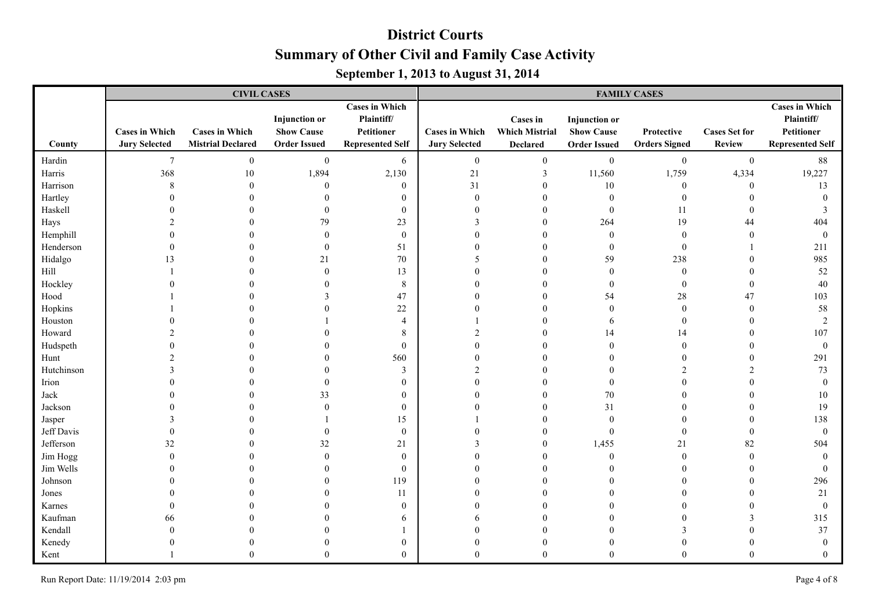|            |                                               | <b>CIVIL CASES</b>                                |                                                                  |                                                                              | <b>FAMILY CASES</b>                           |                                                             |                                                                  |                                    |                                       |                                                                              |  |
|------------|-----------------------------------------------|---------------------------------------------------|------------------------------------------------------------------|------------------------------------------------------------------------------|-----------------------------------------------|-------------------------------------------------------------|------------------------------------------------------------------|------------------------------------|---------------------------------------|------------------------------------------------------------------------------|--|
| County     | <b>Cases in Which</b><br><b>Jury Selected</b> | <b>Cases in Which</b><br><b>Mistrial Declared</b> | <b>Injunction</b> or<br><b>Show Cause</b><br><b>Order Issued</b> | <b>Cases in Which</b><br>Plaintiff/<br>Petitioner<br><b>Represented Self</b> | <b>Cases in Which</b><br><b>Jury Selected</b> | <b>Cases in</b><br><b>Which Mistrial</b><br><b>Declared</b> | <b>Injunction</b> or<br><b>Show Cause</b><br><b>Order Issued</b> | Protective<br><b>Orders Signed</b> | <b>Cases Set for</b><br><b>Review</b> | <b>Cases in Which</b><br>Plaintiff/<br>Petitioner<br><b>Represented Self</b> |  |
| Hardin     | 7                                             | $\mathbf{0}$                                      | $\boldsymbol{0}$                                                 | 6                                                                            | $\mathbf{0}$                                  | $\boldsymbol{0}$                                            | $\boldsymbol{0}$                                                 | $\boldsymbol{0}$                   | $\boldsymbol{0}$                      | 88                                                                           |  |
| Harris     | 368                                           | 10                                                | 1,894                                                            | 2,130                                                                        | 21                                            | 3                                                           | 11,560                                                           | 1,759                              | 4,334                                 | 19,227                                                                       |  |
| Harrison   | $\,8\,$                                       | $\boldsymbol{0}$                                  | $\mathbf{0}$                                                     | $\boldsymbol{0}$                                                             | 31                                            | $\boldsymbol{0}$                                            | $10\,$                                                           | $\boldsymbol{0}$                   | $\boldsymbol{0}$                      | 13                                                                           |  |
| Hartley    | $\theta$                                      | $\theta$                                          | $\boldsymbol{0}$                                                 | $\boldsymbol{0}$                                                             | $\boldsymbol{0}$                              | $\boldsymbol{0}$                                            | $\boldsymbol{0}$                                                 | $\boldsymbol{0}$                   | $\theta$                              | $\mathbf{0}$                                                                 |  |
| Haskell    |                                               | $\Omega$                                          | $\mathbf{0}$                                                     | $\boldsymbol{0}$                                                             | $\theta$                                      | $\mathbf{0}$                                                | $\boldsymbol{0}$                                                 | 11                                 | $\theta$                              | 3                                                                            |  |
| Hays       |                                               | $\Omega$                                          | 79                                                               | 23                                                                           | 3                                             | $\theta$                                                    | 264                                                              | 19                                 | 44                                    | 404                                                                          |  |
| Hemphill   |                                               | $\Omega$                                          | $\mathbf{0}$                                                     | $\boldsymbol{0}$                                                             | $\Omega$                                      | $\Omega$                                                    | $\mathbf{0}$                                                     | $\boldsymbol{0}$                   | $\mathbf{0}$                          | $\mathbf{0}$                                                                 |  |
| Henderson  |                                               |                                                   | $\mathbf{0}$                                                     | 51                                                                           | $\Omega$                                      | $\Omega$                                                    | $\mathbf{0}$                                                     | $\mathbf{0}$                       | -1                                    | 211                                                                          |  |
| Hidalgo    | 13                                            |                                                   | 21                                                               | 70                                                                           | 5                                             | $\Omega$                                                    | 59                                                               | 238                                | $\Omega$                              | 985                                                                          |  |
| Hill       |                                               |                                                   | $\mathbf{0}$                                                     | 13                                                                           | $\Omega$                                      | $\Omega$                                                    | $\mathbf{0}$                                                     | $\boldsymbol{0}$                   | $\theta$                              | 52                                                                           |  |
| Hockley    |                                               |                                                   | $\theta$                                                         | 8                                                                            | $\Omega$                                      | $\Omega$                                                    | $\mathbf{0}$                                                     | $\boldsymbol{0}$                   | $\mathbf{0}$                          | 40                                                                           |  |
| Hood       |                                               |                                                   | 3                                                                | 47                                                                           | 0                                             | $\Omega$                                                    | 54                                                               | 28                                 | 47                                    | 103                                                                          |  |
| Hopkins    |                                               |                                                   | $\Omega$                                                         | 22                                                                           |                                               | $\Omega$                                                    | $\mathbf{0}$                                                     | $\boldsymbol{0}$                   | $\mathbf{0}$                          | 58                                                                           |  |
| Houston    |                                               |                                                   |                                                                  | $\overline{4}$                                                               |                                               | 0                                                           | 6                                                                | $\boldsymbol{0}$                   | $\theta$                              | $\overline{2}$                                                               |  |
| Howard     |                                               |                                                   |                                                                  | 8                                                                            | 2                                             | $\theta$                                                    | 14                                                               | 14                                 | $\theta$                              | 107                                                                          |  |
| Hudspeth   |                                               |                                                   | $\Omega$                                                         | $\mathbf{0}$                                                                 | $\Omega$                                      | $\Omega$                                                    | $\Omega$                                                         | $\mathbf{0}$                       | $\Omega$                              | $\mathbf{0}$                                                                 |  |
| Hunt       |                                               |                                                   | $\Omega$                                                         | 560                                                                          | $\Omega$                                      | $\Omega$                                                    |                                                                  | $\overline{0}$                     | $\Omega$                              | 291                                                                          |  |
| Hutchinson |                                               |                                                   | $\theta$                                                         | $\mathfrak{Z}$                                                               | $\mathfrak{D}$                                | $\Omega$                                                    |                                                                  | $\overline{c}$                     | $\mathcal{D}$                         | 73                                                                           |  |
| Irion      |                                               |                                                   | $\mathbf{0}$                                                     | $\boldsymbol{0}$                                                             | $\Omega$                                      | $\Omega$                                                    | $\theta$                                                         | $\theta$                           |                                       | $\theta$                                                                     |  |
| Jack       |                                               |                                                   | 33                                                               | $\boldsymbol{0}$                                                             | $\Omega$                                      | $\Omega$                                                    | 70                                                               | $\theta$                           | $\Omega$                              | 10                                                                           |  |
| Jackson    |                                               |                                                   | $\theta$                                                         | $\bf{0}$                                                                     |                                               | $\Omega$                                                    | 31                                                               | $\theta$                           | $\Omega$                              | 19                                                                           |  |
| Jasper     |                                               |                                                   |                                                                  | 15                                                                           |                                               | $\Omega$                                                    | $\theta$                                                         | $\Omega$                           | $\Omega$                              | 138                                                                          |  |
| Jeff Davis |                                               |                                                   | $\theta$                                                         | $\boldsymbol{0}$                                                             | $\Omega$                                      | $\Omega$                                                    | $\mathbf{0}$                                                     | $\mathbf{0}$                       | $\theta$                              | $\theta$                                                                     |  |
| Jefferson  | 32                                            |                                                   | 32                                                               | 21                                                                           | 3                                             | $\boldsymbol{0}$                                            | 1,455                                                            | 21                                 | 82                                    | 504                                                                          |  |
| Jim Hogg   | $\Omega$                                      |                                                   | $\mathbf{0}$                                                     | $\boldsymbol{0}$                                                             | $\Omega$                                      | $\theta$                                                    | $\boldsymbol{0}$                                                 | $\boldsymbol{0}$                   | $\mathbf{0}$                          | $\mathbf{0}$                                                                 |  |
| Jim Wells  |                                               |                                                   | $\mathbf{0}$                                                     | $\boldsymbol{0}$                                                             | $\Omega$                                      | $\mathbf{0}$                                                | $\theta$                                                         | $\mathbf{0}$                       | $\theta$                              | $\mathbf{0}$                                                                 |  |
| Johnson    |                                               |                                                   | $\theta$                                                         | 119                                                                          | $\Omega$                                      | $\theta$                                                    | $\Omega$                                                         | $\theta$                           | $\theta$                              | 296                                                                          |  |
| Jones      |                                               |                                                   | $\Omega$                                                         | 11                                                                           | $\Omega$                                      | $\Omega$                                                    |                                                                  | $\theta$                           |                                       | 21                                                                           |  |
| Karnes     |                                               |                                                   | $\Omega$                                                         | $\bf{0}$                                                                     | $\Omega$                                      | $\Omega$                                                    |                                                                  | $\theta$                           |                                       | $\mathbf{0}$                                                                 |  |
| Kaufman    | 66                                            |                                                   | $\Omega$                                                         | 6                                                                            | 6                                             | $\Omega$                                                    |                                                                  | $\theta$                           | 3                                     | 315                                                                          |  |
| Kendall    |                                               |                                                   | $\Omega$                                                         |                                                                              | $\Omega$                                      | $\Omega$                                                    |                                                                  | 3                                  |                                       | 37                                                                           |  |
| Kenedy     |                                               |                                                   | $\theta$                                                         | $\boldsymbol{0}$                                                             | $\theta$                                      | $\theta$                                                    | $\theta$                                                         | $\overline{0}$                     |                                       | $\mathbf{0}$                                                                 |  |
| Kent       |                                               | $\Omega$                                          | $\theta$                                                         | $\mathbf{0}$                                                                 | $\Omega$                                      | $\theta$                                                    | $\Omega$                                                         | $\theta$                           | $\theta$                              | $\Omega$                                                                     |  |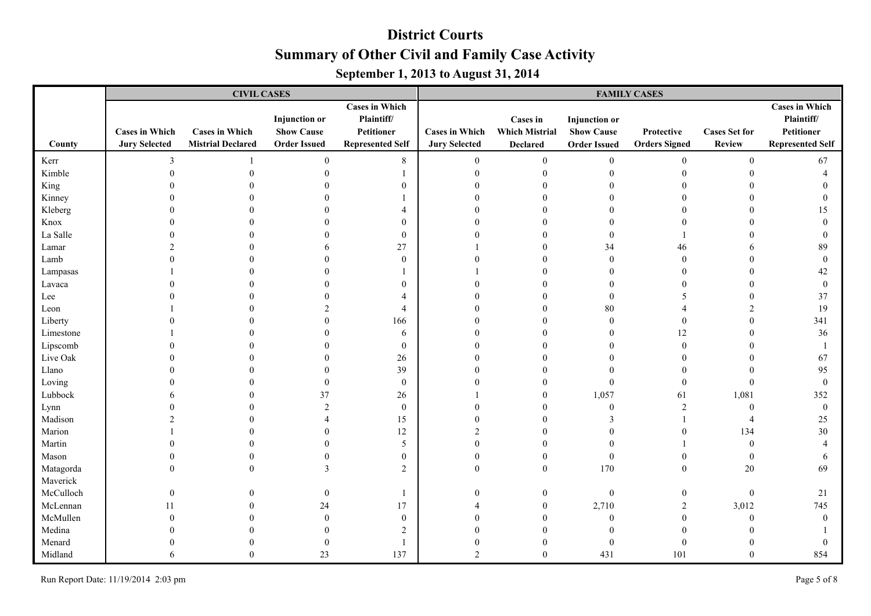|           |                                               | <b>CIVIL CASES</b>                                |                                                                  |                                                                              | <b>FAMILY CASES</b>                           |                                                      |                                                                  |                                    |                                       |                                                                              |  |
|-----------|-----------------------------------------------|---------------------------------------------------|------------------------------------------------------------------|------------------------------------------------------------------------------|-----------------------------------------------|------------------------------------------------------|------------------------------------------------------------------|------------------------------------|---------------------------------------|------------------------------------------------------------------------------|--|
| County    | <b>Cases in Which</b><br><b>Jury Selected</b> | <b>Cases in Which</b><br><b>Mistrial Declared</b> | <b>Injunction</b> or<br><b>Show Cause</b><br><b>Order Issued</b> | <b>Cases in Which</b><br>Plaintiff/<br>Petitioner<br><b>Represented Self</b> | <b>Cases in Which</b><br><b>Jury Selected</b> | Cases in<br><b>Which Mistrial</b><br><b>Declared</b> | <b>Injunction</b> or<br><b>Show Cause</b><br><b>Order Issued</b> | Protective<br><b>Orders Signed</b> | <b>Cases Set for</b><br><b>Review</b> | <b>Cases in Which</b><br>Plaintiff/<br>Petitioner<br><b>Represented Self</b> |  |
| Kerr      | 3                                             |                                                   | $\boldsymbol{0}$                                                 | 8                                                                            | $\boldsymbol{0}$                              | $\boldsymbol{0}$                                     | $\boldsymbol{0}$                                                 | $\boldsymbol{0}$                   | $\boldsymbol{0}$                      | 67                                                                           |  |
| Kimble    | $\overline{0}$                                |                                                   | $\boldsymbol{0}$                                                 |                                                                              | $\boldsymbol{0}$                              | $\boldsymbol{0}$                                     | $\Omega$                                                         | $\boldsymbol{0}$                   | $\Omega$                              | $\overline{4}$                                                               |  |
| King      |                                               |                                                   | $\theta$                                                         | $\boldsymbol{0}$                                                             | $\theta$                                      | $\theta$                                             |                                                                  | $\boldsymbol{0}$                   |                                       | $\Omega$                                                                     |  |
| Kinney    |                                               |                                                   | $\Omega$                                                         |                                                                              | $\Omega$                                      | $\Omega$                                             |                                                                  | $\mathbf{0}$                       |                                       | $\theta$                                                                     |  |
| Kleberg   |                                               |                                                   | $\Omega$                                                         | $\overline{4}$                                                               | $\Omega$                                      | $\Omega$                                             |                                                                  | $\theta$                           |                                       | 15                                                                           |  |
| Knox      |                                               |                                                   | $\Omega$                                                         | $\boldsymbol{0}$                                                             | $\Omega$                                      | $\Omega$                                             |                                                                  | $\theta$                           |                                       | $\theta$                                                                     |  |
| La Salle  |                                               |                                                   | $\Omega$                                                         | $\boldsymbol{0}$                                                             | $\Omega$                                      | $\Omega$                                             | $\Omega$                                                         |                                    | $\Omega$                              | $\Omega$                                                                     |  |
| Lamar     |                                               |                                                   | 6                                                                | 27                                                                           |                                               | $\Omega$                                             | 34                                                               | 46                                 |                                       | 89                                                                           |  |
| Lamb      |                                               |                                                   | $\Omega$                                                         | $\boldsymbol{0}$                                                             |                                               | $\Omega$                                             | $\theta$                                                         | $\mathbf{0}$                       | $\Omega$                              | $\mathbf{0}$                                                                 |  |
| Lampasas  |                                               |                                                   | $\Omega$                                                         |                                                                              |                                               | $\Omega$                                             |                                                                  | $\theta$                           |                                       | 42                                                                           |  |
| Lavaca    |                                               |                                                   | 0                                                                | $\mathbf{0}$                                                                 |                                               | 0                                                    |                                                                  | $\theta$                           |                                       | $\mathbf{0}$                                                                 |  |
| Lee       |                                               |                                                   | 0                                                                | 4                                                                            |                                               |                                                      |                                                                  | 5                                  |                                       | 37                                                                           |  |
| Leon      |                                               |                                                   | 2                                                                | $\overline{4}$                                                               |                                               | $\Omega$                                             | 80                                                               | $\overline{4}$                     |                                       | 19                                                                           |  |
| Liberty   |                                               |                                                   | $\theta$                                                         | 166                                                                          |                                               | $\Omega$                                             | $\theta$                                                         | $\boldsymbol{0}$                   | $\Omega$                              | 341                                                                          |  |
| Limestone |                                               |                                                   | $\Omega$                                                         | 6                                                                            |                                               | $\Omega$                                             |                                                                  | 12                                 | $\Omega$                              | 36                                                                           |  |
| Lipscomb  |                                               |                                                   | $\Omega$                                                         | $\boldsymbol{0}$                                                             | O                                             | $\Omega$                                             |                                                                  | $\mathbf{0}$                       | $\Omega$                              |                                                                              |  |
| Live Oak  |                                               |                                                   | $\theta$                                                         | 26                                                                           | $\Omega$                                      | $\Omega$                                             |                                                                  | $\boldsymbol{0}$                   | $\Omega$                              | 67                                                                           |  |
| Llano     |                                               |                                                   | $\theta$                                                         | 39                                                                           | $\Omega$                                      | $\Omega$                                             |                                                                  | $\boldsymbol{0}$                   | $\theta$                              | 95                                                                           |  |
| Loving    |                                               |                                                   | $\theta$                                                         | $\boldsymbol{0}$                                                             |                                               | $\theta$                                             | $\theta$                                                         | $\mathbf{0}$                       | $\mathbf{0}$                          | $\theta$                                                                     |  |
| Lubbock   |                                               |                                                   | 37                                                               | $26\,$                                                                       |                                               | $\theta$                                             | 1,057                                                            | 61                                 | 1,081                                 | 352                                                                          |  |
| Lynn      |                                               |                                                   | $\overline{2}$                                                   | $\boldsymbol{0}$                                                             | ∩                                             | $\Omega$                                             | $\theta$                                                         | $\overline{2}$                     | $\mathbf{0}$                          | $\mathbf{0}$                                                                 |  |
| Madison   |                                               |                                                   | 4                                                                | 15                                                                           | $\theta$                                      | $\theta$                                             | 3                                                                |                                    | $\overline{4}$                        | 25                                                                           |  |
| Marion    |                                               |                                                   | $\theta$                                                         | 12                                                                           |                                               | $\theta$                                             |                                                                  | $\boldsymbol{0}$                   | 134                                   | 30                                                                           |  |
| Martin    |                                               |                                                   | $\theta$                                                         | 5                                                                            | 0                                             | $\theta$                                             |                                                                  |                                    | $\mathbf{0}$                          | $\boldsymbol{\Delta}$                                                        |  |
| Mason     |                                               |                                                   | $\theta$                                                         | $\boldsymbol{0}$                                                             | $\Omega$                                      | $\boldsymbol{0}$                                     | $\mathbf{0}$                                                     | $\overline{0}$                     | $\mathbf{0}$                          | 6                                                                            |  |
| Matagorda | $\Omega$                                      | $\Omega$                                          | 3                                                                | 2                                                                            | $\Omega$                                      | $\mathbf{0}$                                         | 170                                                              | $\mathbf{0}$                       | 20                                    | 69                                                                           |  |
| Maverick  |                                               |                                                   |                                                                  |                                                                              |                                               |                                                      |                                                                  |                                    |                                       |                                                                              |  |
| McCulloch | $\Omega$                                      |                                                   | $\boldsymbol{0}$                                                 | $\mathbf{1}$                                                                 | $\theta$                                      | $\boldsymbol{0}$                                     | $\bf{0}$                                                         | $\mathbf{0}$                       | $\boldsymbol{0}$                      | 21                                                                           |  |
| McLennan  | 11                                            |                                                   | 24                                                               | 17                                                                           | 4                                             | $\mathbf{0}$                                         | 2,710                                                            | $\sqrt{2}$                         | 3,012                                 | 745                                                                          |  |
| McMullen  |                                               |                                                   | $\theta$                                                         | $\boldsymbol{0}$                                                             |                                               | $\Omega$                                             | $\theta$                                                         | $\mathbf{0}$                       | $\theta$                              | $\theta$                                                                     |  |
| Medina    |                                               |                                                   | $\Omega$                                                         | $\overline{2}$                                                               |                                               | $\Omega$                                             |                                                                  | $\theta$                           |                                       |                                                                              |  |
| Menard    |                                               |                                                   | $\mathbf{0}$                                                     |                                                                              | O                                             | $\theta$                                             | $\boldsymbol{0}$                                                 | $\boldsymbol{0}$                   |                                       | $\theta$                                                                     |  |
| Midland   | 6                                             | $\theta$                                          | 23                                                               | 137                                                                          | 2                                             | $\Omega$                                             | 431                                                              | 101                                | $\theta$                              | 854                                                                          |  |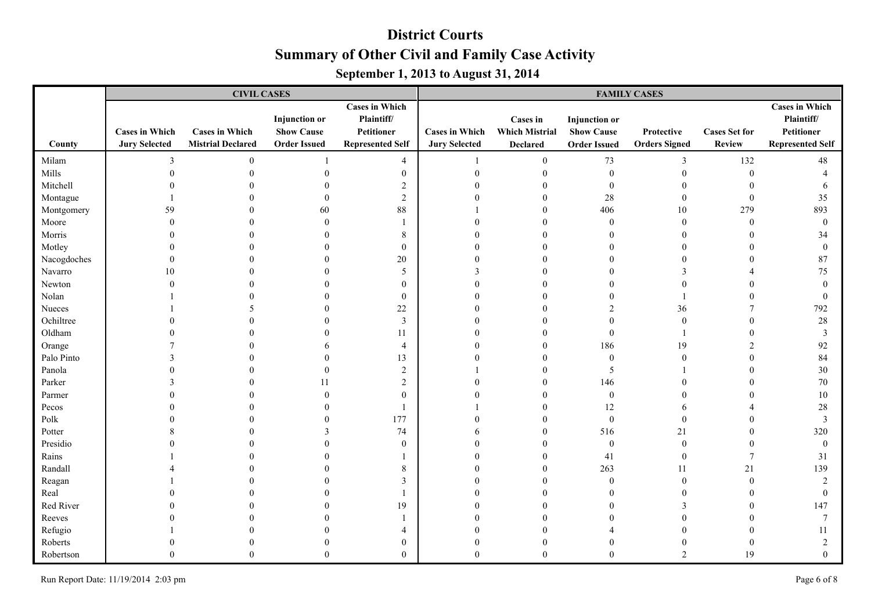|             |                                               | <b>CIVIL CASES</b>                                |                                                                  |                                                                              | <b>FAMILY CASES</b>                           |                                                      |                                                                  |                                    |                                       |                                                                              |  |
|-------------|-----------------------------------------------|---------------------------------------------------|------------------------------------------------------------------|------------------------------------------------------------------------------|-----------------------------------------------|------------------------------------------------------|------------------------------------------------------------------|------------------------------------|---------------------------------------|------------------------------------------------------------------------------|--|
| County      | <b>Cases in Which</b><br><b>Jury Selected</b> | <b>Cases in Which</b><br><b>Mistrial Declared</b> | <b>Injunction</b> or<br><b>Show Cause</b><br><b>Order Issued</b> | <b>Cases in Which</b><br>Plaintiff/<br>Petitioner<br><b>Represented Self</b> | <b>Cases in Which</b><br><b>Jury Selected</b> | Cases in<br><b>Which Mistrial</b><br><b>Declared</b> | <b>Injunction</b> or<br><b>Show Cause</b><br><b>Order Issued</b> | Protective<br><b>Orders Signed</b> | <b>Cases Set for</b><br><b>Review</b> | <b>Cases in Which</b><br>Plaintiff/<br>Petitioner<br><b>Represented Self</b> |  |
| Milam       | 3                                             | $\mathbf{0}$                                      |                                                                  | $\overline{4}$                                                               |                                               | $\boldsymbol{0}$                                     | 73                                                               | 3                                  | 132                                   | 48                                                                           |  |
| Mills       | $\Omega$                                      |                                                   | $\theta$                                                         | $\boldsymbol{0}$                                                             | $\boldsymbol{0}$                              | $\boldsymbol{0}$                                     | $\bf{0}$                                                         | $\boldsymbol{0}$                   | $\boldsymbol{0}$                      | $\overline{4}$                                                               |  |
| Mitchell    |                                               |                                                   | $\theta$                                                         | $\overline{c}$                                                               | $\Omega$                                      | $\overline{0}$                                       | $\mathbf{0}$                                                     | $\boldsymbol{0}$                   | $\theta$                              | 6                                                                            |  |
| Montague    |                                               |                                                   | $\theta$                                                         | $\overline{2}$                                                               | $\Omega$                                      | $\theta$                                             | 28                                                               | $\boldsymbol{0}$                   | $\mathbf{0}$                          | 35                                                                           |  |
| Montgomery  | 59                                            |                                                   | 60                                                               | 88                                                                           |                                               | $\theta$                                             | 406                                                              | $10\,$                             | 279                                   | 893                                                                          |  |
| Moore       | $\Omega$                                      |                                                   | $\Omega$                                                         |                                                                              |                                               | $\Omega$                                             | $\theta$                                                         | $\boldsymbol{0}$                   | $\theta$                              | $\mathbf{0}$                                                                 |  |
| Morris      |                                               |                                                   | $\Omega$                                                         | 8                                                                            | $\Omega$                                      | $\Omega$                                             |                                                                  | $\mathbf{0}$                       | $\Omega$                              | 34                                                                           |  |
| Motley      |                                               |                                                   | $\Omega$                                                         | $\boldsymbol{0}$                                                             |                                               | $\Omega$                                             |                                                                  | $\theta$                           | $\Omega$                              | $\mathbf{0}$                                                                 |  |
| Nacogdoches |                                               |                                                   | $\Omega$                                                         | $20\,$                                                                       | $\Omega$                                      | $\Omega$                                             |                                                                  | $\theta$                           |                                       | 87                                                                           |  |
| Navarro     | 10                                            |                                                   | $\Omega$                                                         | 5                                                                            |                                               | $\Omega$                                             |                                                                  | 3                                  |                                       | 75                                                                           |  |
| Newton      |                                               |                                                   | $\Omega$                                                         | $\boldsymbol{0}$                                                             |                                               | $\Omega$                                             |                                                                  | $\theta$                           |                                       | $\Omega$                                                                     |  |
| Nolan       |                                               |                                                   | 0                                                                | $\bf{0}$                                                                     |                                               | 0                                                    |                                                                  |                                    |                                       | $\theta$                                                                     |  |
| Nueces      |                                               | 5                                                 | $\Omega$                                                         | 22                                                                           |                                               | 0                                                    |                                                                  | 36                                 |                                       | 792                                                                          |  |
| Ochiltree   |                                               |                                                   | $\theta$                                                         | $\mathfrak{Z}$                                                               |                                               | 0                                                    |                                                                  | $\boldsymbol{0}$                   | $\theta$                              | $28\,$                                                                       |  |
| Oldham      |                                               |                                                   | $\theta$                                                         | 11                                                                           | $\Omega$                                      | $\Omega$                                             | $\theta$                                                         |                                    | $\Omega$                              | $\mathfrak{Z}$                                                               |  |
| Orange      |                                               |                                                   | 6                                                                | $\overline{4}$                                                               | $\Omega$                                      | $\Omega$                                             | 186                                                              | 19                                 | $\mathcal{D}$                         | 92                                                                           |  |
| Palo Pinto  |                                               |                                                   | $\theta$                                                         | 13                                                                           |                                               | $\Omega$                                             | $\theta$                                                         | $\mathbf{0}$                       |                                       | 84                                                                           |  |
| Panola      |                                               |                                                   | $\Omega$                                                         | $\overline{2}$                                                               |                                               | $\Omega$                                             | 5                                                                |                                    | $\Omega$                              | 30                                                                           |  |
| Parker      |                                               |                                                   | 11                                                               | $\overline{2}$                                                               |                                               | $\Omega$                                             | 146                                                              | $\theta$                           | $\Omega$                              | 70                                                                           |  |
| Parmer      |                                               |                                                   | $\theta$                                                         | $\boldsymbol{0}$                                                             |                                               | $\mathbf{0}$                                         | $\boldsymbol{0}$                                                 | $\theta$                           |                                       | 10                                                                           |  |
| Pecos       |                                               |                                                   | $\Omega$                                                         |                                                                              |                                               | $\theta$                                             | 12                                                               | 6                                  |                                       | 28                                                                           |  |
| Polk        |                                               |                                                   | $\Omega$                                                         | 177                                                                          | $\Omega$                                      | $\mathbf{0}$                                         | $\mathbf{0}$                                                     | $\mathbf{0}$                       |                                       | 3                                                                            |  |
| Potter      |                                               |                                                   | 3                                                                | 74                                                                           | 6                                             | $\mathbf{0}$                                         | 516                                                              | 21                                 | $\theta$                              | 320                                                                          |  |
| Presidio    |                                               |                                                   | $\Omega$                                                         | $\mathbf{0}$                                                                 | $\Omega$                                      | $\theta$                                             | $\bf{0}$                                                         | $\mathbf{0}$                       | $\theta$                              | $\mathbf{0}$                                                                 |  |
| Rains       |                                               |                                                   | $\Omega$                                                         |                                                                              | 0                                             | $\theta$                                             | 41                                                               | $\boldsymbol{0}$                   | 7                                     | 31                                                                           |  |
| Randall     |                                               |                                                   | $\theta$                                                         | 8                                                                            | $\Omega$                                      | $\overline{0}$                                       | 263                                                              | 11                                 | 21                                    | 139                                                                          |  |
| Reagan      |                                               |                                                   | $\theta$                                                         | $\overline{3}$                                                               | $\Omega$                                      | $\Omega$                                             | $\theta$                                                         | $\boldsymbol{0}$                   | $\theta$                              | $\overline{2}$                                                               |  |
| Real        |                                               |                                                   | $\theta$                                                         |                                                                              | $\Omega$                                      | $\Omega$                                             |                                                                  | $\mathbf{0}$                       | $\theta$                              | $\theta$                                                                     |  |
| Red River   |                                               |                                                   | $\Omega$                                                         | 19                                                                           | $\Omega$                                      | $\Omega$                                             |                                                                  | 3                                  | $\Omega$                              | 147                                                                          |  |
| Reeves      |                                               |                                                   | $\Omega$                                                         |                                                                              |                                               | $\Omega$                                             |                                                                  | $\theta$                           | $\Omega$                              | 7                                                                            |  |
| Refugio     |                                               |                                                   |                                                                  | 4                                                                            |                                               | $\Omega$                                             |                                                                  | $\Omega$                           |                                       | 11                                                                           |  |
| Roberts     |                                               |                                                   | $\Omega$                                                         | $\boldsymbol{0}$                                                             |                                               | $\theta$                                             |                                                                  | $\theta$                           | $\theta$                              | $\overline{2}$                                                               |  |
| Robertson   | $\Omega$                                      | $\Omega$                                          | $\Omega$                                                         | $\theta$                                                                     | $\Omega$                                      | $\Omega$                                             | $\Omega$                                                         | $\overline{2}$                     | 19                                    | $\theta$                                                                     |  |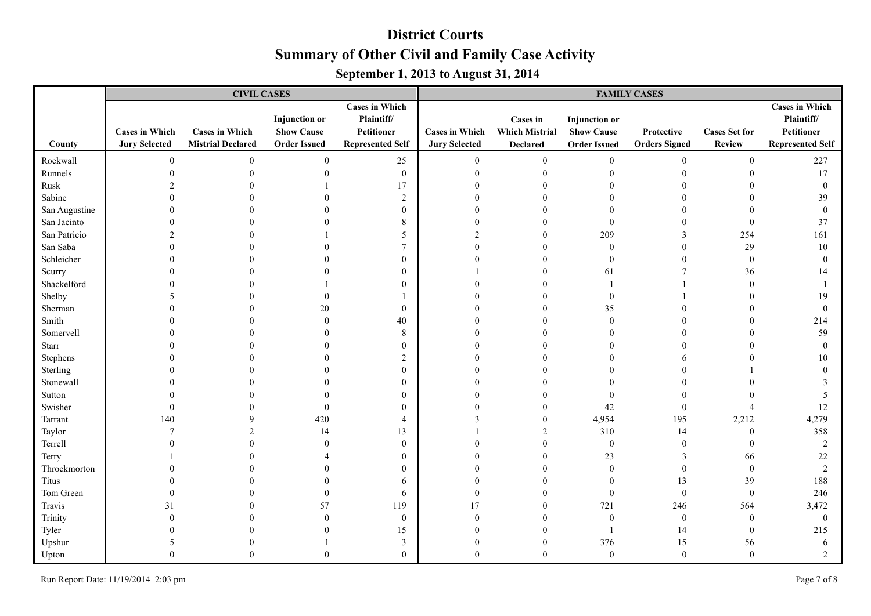|               |                                               | <b>CIVIL CASES</b>                                |                                                                  |                                                                              | <b>FAMILY CASES</b>                           |                                                      |                                                                  |                                    |                                       |                                                                                     |  |
|---------------|-----------------------------------------------|---------------------------------------------------|------------------------------------------------------------------|------------------------------------------------------------------------------|-----------------------------------------------|------------------------------------------------------|------------------------------------------------------------------|------------------------------------|---------------------------------------|-------------------------------------------------------------------------------------|--|
| County        | <b>Cases in Which</b><br><b>Jury Selected</b> | <b>Cases in Which</b><br><b>Mistrial Declared</b> | <b>Injunction</b> or<br><b>Show Cause</b><br><b>Order Issued</b> | <b>Cases in Which</b><br>Plaintiff/<br>Petitioner<br><b>Represented Self</b> | <b>Cases in Which</b><br><b>Jury Selected</b> | Cases in<br><b>Which Mistrial</b><br><b>Declared</b> | <b>Injunction</b> or<br><b>Show Cause</b><br><b>Order Issued</b> | Protective<br><b>Orders Signed</b> | <b>Cases Set for</b><br><b>Review</b> | <b>Cases in Which</b><br>Plaintiff/<br><b>Petitioner</b><br><b>Represented Self</b> |  |
|               |                                               |                                                   |                                                                  |                                                                              |                                               |                                                      |                                                                  |                                    |                                       |                                                                                     |  |
| Rockwall      | $\boldsymbol{0}$                              | $\boldsymbol{0}$                                  | $\boldsymbol{0}$                                                 | 25                                                                           | $\boldsymbol{0}$                              | $\boldsymbol{0}$                                     | $\boldsymbol{0}$                                                 | $\boldsymbol{0}$                   | $\boldsymbol{0}$                      | 227                                                                                 |  |
| Runnels       | $\Omega$                                      | $\Omega$                                          | $\mathbf{0}$                                                     | $\boldsymbol{0}$                                                             | $\boldsymbol{0}$                              | $\boldsymbol{0}$                                     | $\mathbf{0}$                                                     | $\boldsymbol{0}$                   | $\theta$                              | 17                                                                                  |  |
| Rusk          |                                               |                                                   |                                                                  | 17                                                                           | $\theta$                                      | $\theta$                                             |                                                                  | $\mathbf{0}$                       |                                       | $\mathbf{0}$                                                                        |  |
| Sabine        |                                               |                                                   | $\theta$                                                         | $\overline{2}$                                                               | $\overline{0}$                                | $\theta$                                             |                                                                  | $\theta$                           |                                       | 39                                                                                  |  |
| San Augustine |                                               |                                                   | $\Omega$                                                         | $\boldsymbol{0}$                                                             | $\Omega$                                      | $\Omega$                                             |                                                                  | $\theta$                           |                                       | $\theta$                                                                            |  |
| San Jacinto   |                                               |                                                   | $\Omega$                                                         | 8                                                                            | $\Omega$                                      | $\Omega$                                             | $\mathbf{0}$                                                     | $\theta$                           | $\mathbf{0}$                          | 37                                                                                  |  |
| San Patricio  |                                               |                                                   |                                                                  | 5                                                                            | $\mathfrak{D}$                                | $\Omega$                                             | 209                                                              | 3                                  | 254                                   | 161                                                                                 |  |
| San Saba      |                                               |                                                   | $\Omega$                                                         | $\overline{7}$                                                               | $\Omega$                                      | $\Omega$                                             | $\mathbf{0}$                                                     | $\mathbf{0}$                       | 29                                    | 10                                                                                  |  |
| Schleicher    |                                               |                                                   | $\Omega$                                                         | $\boldsymbol{0}$                                                             |                                               | $\Omega$                                             | $\Omega$                                                         | $\mathbf{0}$                       | $\boldsymbol{0}$                      | $\theta$                                                                            |  |
| Scurry        |                                               |                                                   |                                                                  | $\mathbf{0}$                                                                 |                                               | $\Omega$                                             | 61                                                               | 7                                  | 36                                    | 14                                                                                  |  |
| Shackelford   |                                               |                                                   |                                                                  | $\theta$                                                                     |                                               | 0                                                    |                                                                  |                                    | $\theta$                              |                                                                                     |  |
| Shelby        |                                               |                                                   | $\mathbf{0}$                                                     |                                                                              |                                               | 0                                                    | $\mathbf{0}$                                                     |                                    | $\theta$                              | 19                                                                                  |  |
| Sherman       |                                               |                                                   | 20                                                               | $\bf{0}$                                                                     |                                               | 0                                                    | 35                                                               |                                    |                                       | $\mathbf{0}$                                                                        |  |
| Smith         |                                               |                                                   | $\mathbf{0}$                                                     | 40                                                                           |                                               | $\Omega$                                             | $\theta$                                                         | $\theta$                           |                                       | 214                                                                                 |  |
| Somervell     |                                               |                                                   | $\Omega$                                                         | 8                                                                            |                                               | $\Omega$                                             |                                                                  | $\theta$                           |                                       | 59                                                                                  |  |
| Starr         |                                               |                                                   | $\Omega$                                                         | $\boldsymbol{0}$                                                             | $\Omega$                                      | $\Omega$                                             |                                                                  | $\theta$                           |                                       | $\theta$                                                                            |  |
| Stephens      |                                               |                                                   | $\Omega$                                                         | $\overline{2}$                                                               | 0                                             | $\Omega$                                             |                                                                  | 6                                  |                                       | 10                                                                                  |  |
| Sterling      |                                               |                                                   | $\Omega$                                                         | $\boldsymbol{0}$                                                             | $\Omega$                                      | $\Omega$                                             |                                                                  | $\theta$                           |                                       | $\Omega$                                                                            |  |
| Stonewall     |                                               |                                                   | $\Omega$                                                         | $\mathbf{0}$                                                                 |                                               | $\Omega$                                             |                                                                  | $\theta$                           |                                       | $\mathcal{R}$                                                                       |  |
| Sutton        |                                               |                                                   | $\Omega$                                                         | $\mathbf{0}$                                                                 |                                               | $\Omega$                                             | $\Omega$                                                         | $\theta$                           |                                       | 5                                                                                   |  |
| Swisher       |                                               |                                                   | $\theta$                                                         | $\mathbf{0}$                                                                 | $\Omega$                                      | $\theta$                                             | 42                                                               | $\theta$                           | $\overline{4}$                        | 12                                                                                  |  |
| Tarrant       | 140                                           | 9                                                 | 420                                                              | $\overline{4}$                                                               | 3                                             | $\boldsymbol{0}$                                     | 4,954                                                            | 195                                | 2,212                                 | 4,279                                                                               |  |
| Taylor        | 7                                             | $\overline{2}$                                    | 14                                                               | 13                                                                           |                                               | 2                                                    | 310                                                              | 14                                 | $\boldsymbol{0}$                      | 358                                                                                 |  |
| Terrell       |                                               |                                                   | $\theta$                                                         | $\boldsymbol{0}$                                                             | 0                                             | $\theta$                                             | $\bf{0}$                                                         | $\boldsymbol{0}$                   | $\boldsymbol{0}$                      | $\overline{2}$                                                                      |  |
| Terry         |                                               |                                                   |                                                                  | $\bf{0}$                                                                     | 0                                             | $\theta$                                             | 23                                                               | $\mathfrak{Z}$                     | 66                                    | 22                                                                                  |  |
| Throckmorton  |                                               |                                                   | $\Omega$                                                         | $\boldsymbol{0}$                                                             | $\Omega$                                      | $\theta$                                             | $\mathbf{0}$                                                     | $\boldsymbol{0}$                   | $\boldsymbol{0}$                      | $\overline{2}$                                                                      |  |
| Titus         |                                               |                                                   | $\theta$                                                         | 6                                                                            | 0                                             | $\theta$                                             | $\theta$                                                         | 13                                 | 39                                    | 188                                                                                 |  |
| Tom Green     |                                               | $\Omega$                                          | $\mathbf{0}$                                                     | 6                                                                            | $\Omega$                                      | $\Omega$                                             | $\boldsymbol{0}$                                                 | $\boldsymbol{0}$                   | $\boldsymbol{0}$                      | 246                                                                                 |  |
| Travis        | 31                                            |                                                   | 57                                                               | 119                                                                          | 17                                            | $\theta$                                             | 721                                                              | 246                                | 564                                   | 3,472                                                                               |  |
| Trinity       |                                               |                                                   | $\theta$                                                         | $\boldsymbol{0}$                                                             | $\Omega$                                      | $\Omega$                                             | $\mathbf{0}$                                                     | $\boldsymbol{0}$                   | $\boldsymbol{0}$                      | $\mathbf{0}$                                                                        |  |
| Tyler         |                                               |                                                   | $\Omega$                                                         | 15                                                                           |                                               | $\Omega$                                             |                                                                  | 14                                 | $\mathbf{0}$                          | 215                                                                                 |  |
| Upshur        |                                               |                                                   |                                                                  | $\mathfrak{Z}$                                                               | $\Omega$                                      | $\boldsymbol{0}$                                     | 376                                                              | 15                                 | 56                                    | 6                                                                                   |  |
| Upton         |                                               | $\Omega$                                          | $\theta$                                                         | $\mathbf{0}$                                                                 | $\Omega$                                      | $\theta$                                             | $\boldsymbol{0}$                                                 | $\boldsymbol{0}$                   | $\mathbf{0}$                          | $\overline{2}$                                                                      |  |